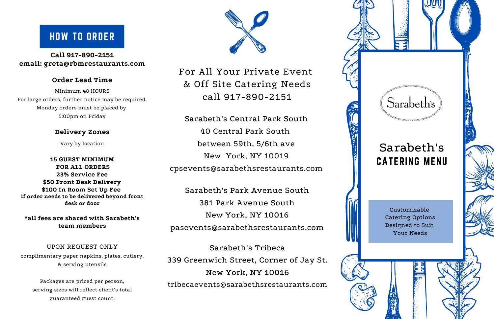Customizable Catering Options Designed to Suit Your Needs

## HOW TO ORDER

**Call 917-890-2151 email: greta@rbmrestaurants.com**

#### **Order Lead Time**

Minimum 48 HOURS For large orders, further notice may be required. Monday orders must be placed by 5:00pm on Friday

#### **Delivery Zones**

Vary by location

**15 GUEST MINIMUM FOR ALL ORDERS 23% Service Fee \$50 Front Desk Delivery \$100 In Room Set Up Fee if order needs to be delivered beyond front desk or door**

**\*all fees are shared with Sarabeth's team members**

#### UPON REQUEST ONLY

complimentary paper napkins, plates, cutlery, & serving utensils

Packages are priced per person, serving sizes will reflect client's total guaranteed guest count.



For All Your Private Event & Off Site Catering Needs call 917-890-2151

# CATERING MENU Sarabeth's

Sarabeth's Central Park South 40 Central Park South between 59th, 5/6th ave New York, NY 10019 cpsevents@sarabethsrestaurants.com

Sarabeth's Park Avenue South 381 Park Avenue South New York, NY 10016 pasevents@sarabethsrestaurants.com

Sarabeth's Tribeca 339 Greenwich Street, Corner of Jay St. New York, NY 10016 tribecaevents@sarabethsrestaurants.com